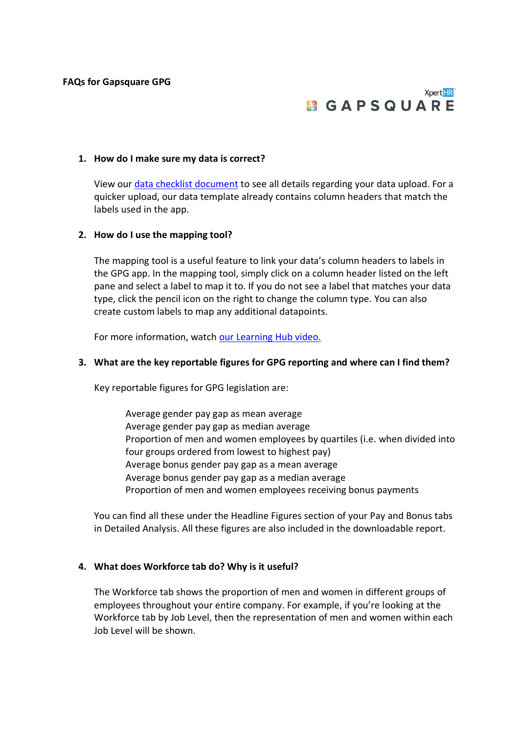# Xpert HR<sup>\*</sup> **MGAPSQUARE**

#### **1. How do I make sure my data is correct?**

View our [data checklist document](https://f.hubspotusercontent30.net/hubfs/3868036/GPG%20Onboarding%20Data%20Checklist.pdf) to see all details regarding your data upload. For a quicker upload, our data template already contains column headers that match the labels used in the app.

#### **2. How do I use the mapping tool?**

The mapping tool is a useful feature to link your data's column headers to labels in the GPG app. In the mapping tool, simply click on a column header listed on the left pane and select a label to map it to. If you do not see a label that matches your data type, click the pencil icon on the right to change the column type. You can also create custom labels to map any additional datapoints.

For more information, watch [our Learning Hub video.](https://www.youtube.com/watch?v=OB2X42t0uAs)

#### **3. What are the key reportable figures for GPG reporting and where can I find them?**

Key reportable figures for GPG legislation are:

Average gender pay gap as mean average Average gender pay gap as median average Proportion of men and women employees by quartiles (i.e. when divided into four groups ordered from lowest to highest pay) Average bonus gender pay gap as a mean average Average bonus gender pay gap as a median average Proportion of men and women employees receiving bonus payments

You can find all these under the Headline Figures section of your Pay and Bonus tabs in Detailed Analysis. All these figures are also included in the downloadable report.

### **4. What does Workforce tab do? Why is it useful?**

The Workforce tab shows the proportion of men and women in different groups of employees throughout your entire company. For example, if you're looking at the Workforce tab by Job Level, then the representation of men and women within each Job Level will be shown.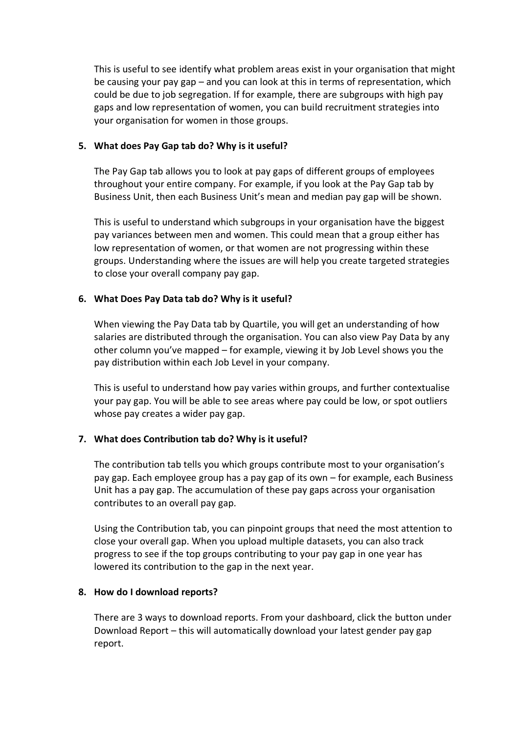This is useful to see identify what problem areas exist in your organisation that might be causing your pay gap – and you can look at this in terms of representation, which could be due to job segregation. If for example, there are subgroups with high pay gaps and low representation of women, you can build recruitment strategies into your organisation for women in those groups.

## **5. What does Pay Gap tab do? Why is it useful?**

The Pay Gap tab allows you to look at pay gaps of different groups of employees throughout your entire company. For example, if you look at the Pay Gap tab by Business Unit, then each Business Unit's mean and median pay gap will be shown.

This is useful to understand which subgroups in your organisation have the biggest pay variances between men and women. This could mean that a group either has low representation of women, or that women are not progressing within these groups. Understanding where the issues are will help you create targeted strategies to close your overall company pay gap.

# **6. What Does Pay Data tab do? Why is it useful?**

When viewing the Pay Data tab by Quartile, you will get an understanding of how salaries are distributed through the organisation. You can also view Pay Data by any other column you've mapped – for example, viewing it by Job Level shows you the pay distribution within each Job Level in your company.

This is useful to understand how pay varies within groups, and further contextualise your pay gap. You will be able to see areas where pay could be low, or spot outliers whose pay creates a wider pay gap.

# **7. What does Contribution tab do? Why is it useful?**

The contribution tab tells you which groups contribute most to your organisation's pay gap. Each employee group has a pay gap of its own – for example, each Business Unit has a pay gap. The accumulation of these pay gaps across your organisation contributes to an overall pay gap.

Using the Contribution tab, you can pinpoint groups that need the most attention to close your overall gap. When you upload multiple datasets, you can also track progress to see if the top groups contributing to your pay gap in one year has lowered its contribution to the gap in the next year.

### **8. How do I download reports?**

There are 3 ways to download reports. From your dashboard, click the button under Download Report – this will automatically download your latest gender pay gap report.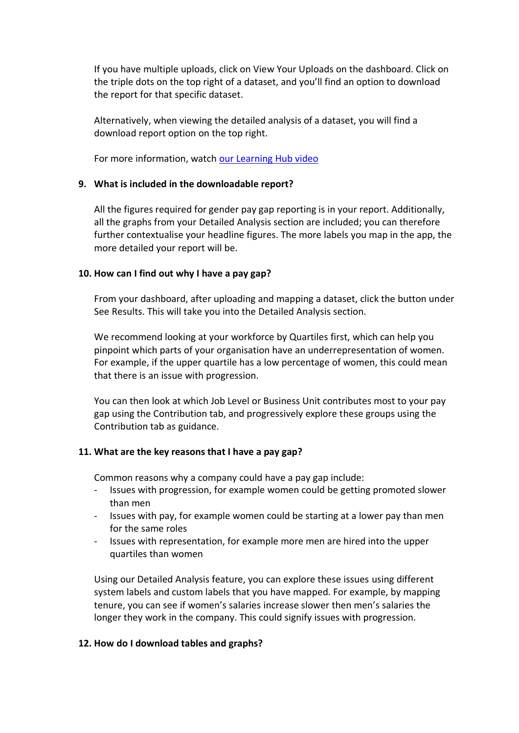If you have multiple uploads, click on View Your Uploads on the dashboard. Click on the triple dots on the top right of a dataset, and you'll find an option to download the report for that specific dataset.

Alternatively, when viewing the detailed analysis of a dataset, you will find a download report option on the top right.

For more information, watch [our Learning Hub video](https://www.youtube.com/watch?v=pfGgzpjPNb0)

## **9. What is included in the downloadable report?**

All the figures required for gender pay gap reporting is in your report. Additionally, all the graphs from your Detailed Analysis section are included; you can therefore further contextualise your headline figures. The more labels you map in the app, the more detailed your report will be.

# **10. How can I find out why I have a pay gap?**

From your dashboard, after uploading and mapping a dataset, click the button under See Results. This will take you into the Detailed Analysis section.

We recommend looking at your workforce by Quartiles first, which can help you pinpoint which parts of your organisation have an underrepresentation of women. For example, if the upper quartile has a low percentage of women, this could mean that there is an issue with progression.

You can then look at which Job Level or Business Unit contributes most to your pay gap using the Contribution tab, and progressively explore these groups using the Contribution tab as guidance.

# **11. What are the key reasons that I have a pay gap?**

Common reasons why a company could have a pay gap include:

- Issues with progression, for example women could be getting promoted slower than men
- Issues with pay, for example women could be starting at a lower pay than men for the same roles
- Issues with representation, for example more men are hired into the upper quartiles than women

Using our Detailed Analysis feature, you can explore these issues using different system labels and custom labels that you have mapped. For example, by mapping tenure, you can see if women's salaries increase slower then men's salaries the longer they work in the company. This could signify issues with progression.

### **12. How do I download tables and graphs?**